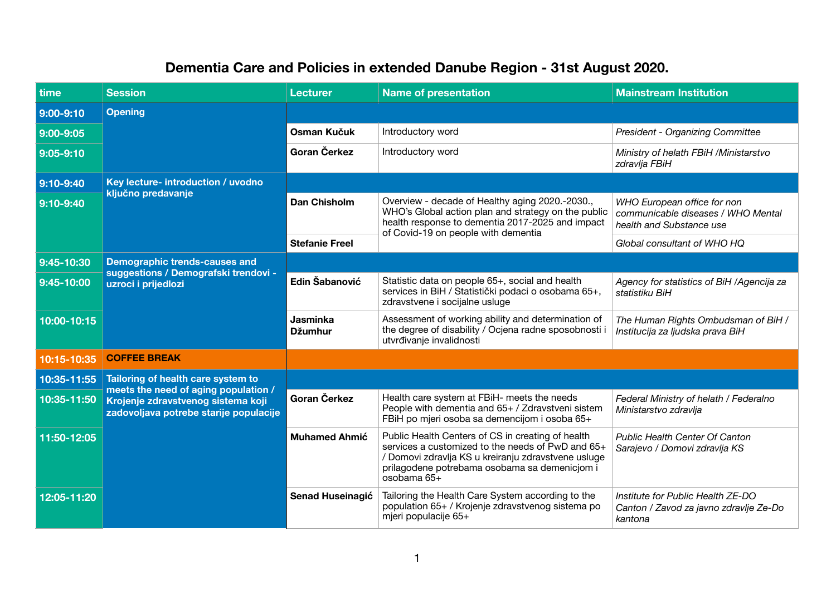## **Dementia Care and Policies in extended Danube Region - 31st August 2020.**

| time        | <b>Session</b>                                                                                                                                             | <b>Lecturer</b>                   | <b>Name of presentation</b>                                                                                                                                                                                                   | <b>Mainstream Institution</b>                                                                 |
|-------------|------------------------------------------------------------------------------------------------------------------------------------------------------------|-----------------------------------|-------------------------------------------------------------------------------------------------------------------------------------------------------------------------------------------------------------------------------|-----------------------------------------------------------------------------------------------|
| 9:00-9:10   | <b>Opening</b>                                                                                                                                             |                                   |                                                                                                                                                                                                                               |                                                                                               |
| 9:00-9:05   |                                                                                                                                                            | Osman Kučuk                       | Introductory word                                                                                                                                                                                                             | President - Organizing Committee                                                              |
| 9:05-9:10   |                                                                                                                                                            | Goran Čerkez                      | Introductory word                                                                                                                                                                                                             | Ministry of helath FBiH /Ministarstvo<br>zdravlja FBiH                                        |
| $9:10-9:40$ | Key lecture- introduction / uvodno<br>ključno predavanje                                                                                                   |                                   |                                                                                                                                                                                                                               |                                                                                               |
| 9:10-9:40   |                                                                                                                                                            | <b>Dan Chisholm</b>               | Overview - decade of Healthy aging 2020.-2030.,<br>WHO's Global action plan and strategy on the public<br>health response to dementia 2017-2025 and impact<br>of Covid-19 on people with dementia                             | WHO European office for non<br>communicable diseases / WHO Mental<br>health and Substance use |
|             |                                                                                                                                                            | <b>Stefanie Freel</b>             |                                                                                                                                                                                                                               | Global consultant of WHO HQ                                                                   |
| 9:45-10:30  | <b>Demographic trends-causes and</b><br>suggestions / Demografski trendovi -<br>uzroci i prijedlozi                                                        |                                   |                                                                                                                                                                                                                               |                                                                                               |
| 9:45-10:00  |                                                                                                                                                            | Edin Šabanović                    | Statistic data on people 65+, social and health<br>services in BiH / Statistički podaci o osobama 65+,<br>zdravstvene i socijalne usluge                                                                                      | Agency for statistics of BiH / Agencija za<br>statistiku BiH                                  |
| 10:00-10:15 |                                                                                                                                                            | <b>Jasminka</b><br><b>Džumhur</b> | Assessment of working ability and determination of<br>the degree of disability / Ocjena radne sposobnosti i<br>utvrđivanje invalidnosti                                                                                       | The Human Rights Ombudsman of BiH /<br>Institucija za ljudska prava BiH                       |
| 10:15-10:35 | <b>COFFEE BREAK</b>                                                                                                                                        |                                   |                                                                                                                                                                                                                               |                                                                                               |
| 10:35-11:55 | Tailoring of health care system to<br>meets the need of aging population /<br>Krojenje zdravstvenog sistema koji<br>zadovoljava potrebe starije populacije |                                   |                                                                                                                                                                                                                               |                                                                                               |
| 10:35-11:50 |                                                                                                                                                            | Goran Čerkez                      | Health care system at FBiH- meets the needs<br>People with dementia and 65+ / Zdravstveni sistem<br>FBiH po mjeri osoba sa demencijom i osoba 65+                                                                             | Federal Ministry of helath / Federalno<br>Ministarstvo zdravlja                               |
| 11:50-12:05 |                                                                                                                                                            | <b>Muhamed Ahmić</b>              | Public Health Centers of CS in creating of health<br>services a customized to the needs of PwD and 65+<br>/ Domovi zdravlja KS u kreiranju zdravstvene usluge<br>prilagođene potrebama osobama sa demenicjom i<br>osobama 65+ | <b>Public Health Center Of Canton</b><br>Sarajevo / Domovi zdravlja KS                        |
| 12:05-11:20 |                                                                                                                                                            | <b>Senad Huseinagić</b>           | Tailoring the Health Care System according to the<br>population 65+ / Krojenje zdravstvenog sistema po<br>mjeri populacije 65+                                                                                                | Institute for Public Health ZE-DO<br>Canton / Zavod za javno zdravlje Ze-Do<br>kantona        |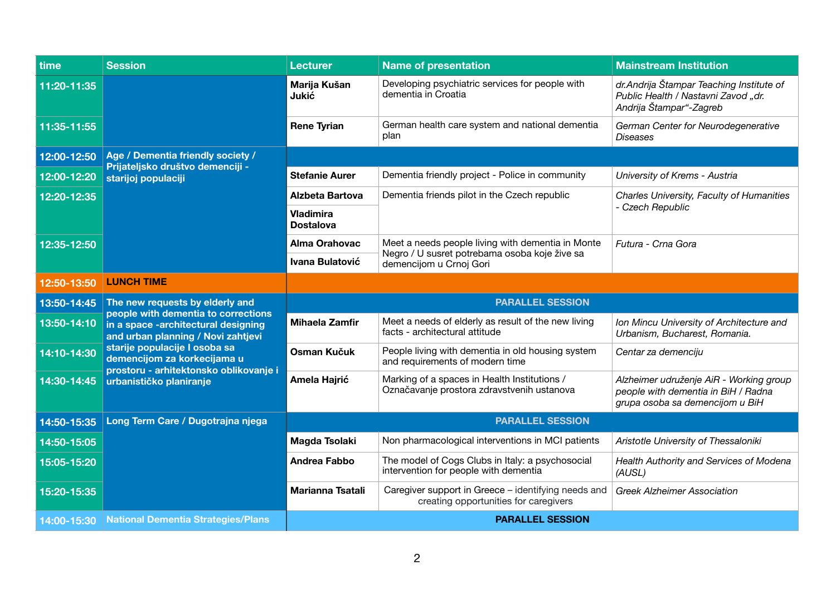| time        | <b>Session</b>                                                                                                                                                                                                                                                                           | <b>Lecturer</b>                      | <b>Name of presentation</b>                                                                                                   | <b>Mainstream Institution</b>                                                                                     |
|-------------|------------------------------------------------------------------------------------------------------------------------------------------------------------------------------------------------------------------------------------------------------------------------------------------|--------------------------------------|-------------------------------------------------------------------------------------------------------------------------------|-------------------------------------------------------------------------------------------------------------------|
| 11:20-11:35 |                                                                                                                                                                                                                                                                                          | Marija Kušan<br><b>Jukić</b>         | Developing psychiatric services for people with<br>dementia in Croatia                                                        | dr. Andrija Štampar Teaching Institute of<br>Public Health / Nastavni Zavod "dr.<br>Andrija Štampar"-Zagreb       |
| 11:35-11:55 |                                                                                                                                                                                                                                                                                          | <b>Rene Tyrian</b>                   | German health care system and national dementia<br>plan                                                                       | German Center for Neurodegenerative<br><b>Diseases</b>                                                            |
| 12:00-12:50 | Age / Dementia friendly society /<br>Prijateljsko društvo demenciji -<br>starijoj populaciji                                                                                                                                                                                             |                                      |                                                                                                                               |                                                                                                                   |
| 12:00-12:20 |                                                                                                                                                                                                                                                                                          | <b>Stefanie Aurer</b>                | Dementia friendly project - Police in community                                                                               | University of Krems - Austria                                                                                     |
| 12:20-12:35 |                                                                                                                                                                                                                                                                                          | <b>Alzbeta Bartova</b>               | Dementia friends pilot in the Czech republic                                                                                  | Charles University, Faculty of Humanities<br>- Czech Republic                                                     |
|             |                                                                                                                                                                                                                                                                                          | <b>Vladimira</b><br><b>Dostalova</b> |                                                                                                                               |                                                                                                                   |
| 12:35-12:50 |                                                                                                                                                                                                                                                                                          | <b>Alma Orahovac</b>                 | Meet a needs people living with dementia in Monte<br>Negro / U susret potrebama osoba koje žive sa<br>demencijom u Crnoj Gori | Futura - Crna Gora                                                                                                |
|             |                                                                                                                                                                                                                                                                                          | Ivana Bulatović                      |                                                                                                                               |                                                                                                                   |
| 12:50-13:50 | <b>LUNCH TIME</b>                                                                                                                                                                                                                                                                        |                                      |                                                                                                                               |                                                                                                                   |
| 13:50-14:45 | The new requests by elderly and<br>people with dementia to corrections<br>in a space -architectural designing<br>and urban planning / Novi zahtjevi<br>starije populacije I osoba sa<br>demencijom za korkecijama u<br>prostoru - arhitektonsko oblikovanje i<br>urbanističko planiranje |                                      | <b>PARALLEL SESSION</b>                                                                                                       |                                                                                                                   |
| 13:50-14:10 |                                                                                                                                                                                                                                                                                          | <b>Mihaela Zamfir</b>                | Meet a needs of elderly as result of the new living<br>facts - architectural attitude                                         | Ion Mincu University of Architecture and<br>Urbanism, Bucharest, Romania.                                         |
| 14:10-14:30 |                                                                                                                                                                                                                                                                                          | Osman Kučuk                          | People living with dementia in old housing system<br>and requirements of modern time                                          | Centar za demenciju                                                                                               |
| 14:30-14:45 |                                                                                                                                                                                                                                                                                          | Amela Hajrić                         | Marking of a spaces in Health Institutions /<br>Označavanje prostora zdravstvenih ustanova                                    | Alzheimer udruženje AiR - Working group<br>people with dementia in BiH / Radna<br>grupa osoba sa demencijom u BiH |
| 14:50-15:35 | Long Term Care / Dugotrajna njega                                                                                                                                                                                                                                                        |                                      | <b>PARALLEL SESSION</b>                                                                                                       |                                                                                                                   |
| 14:50-15:05 |                                                                                                                                                                                                                                                                                          | Magda Tsolaki                        | Non pharmacological interventions in MCI patients                                                                             | Aristotle University of Thessaloniki                                                                              |
| 15:05-15:20 |                                                                                                                                                                                                                                                                                          | <b>Andrea Fabbo</b>                  | The model of Cogs Clubs in Italy: a psychosocial<br>intervention for people with dementia                                     | Health Authority and Services of Modena<br>(AUSL)                                                                 |
| 15:20-15:35 |                                                                                                                                                                                                                                                                                          | <b>Marianna Tsatali</b>              | Caregiver support in Greece - identifying needs and<br>creating opportunities for caregivers                                  | <b>Greek Alzheimer Association</b>                                                                                |
| 14:00-15:30 | National Dementia Strategies/Plans                                                                                                                                                                                                                                                       |                                      | <b>PARALLEL SESSION</b>                                                                                                       |                                                                                                                   |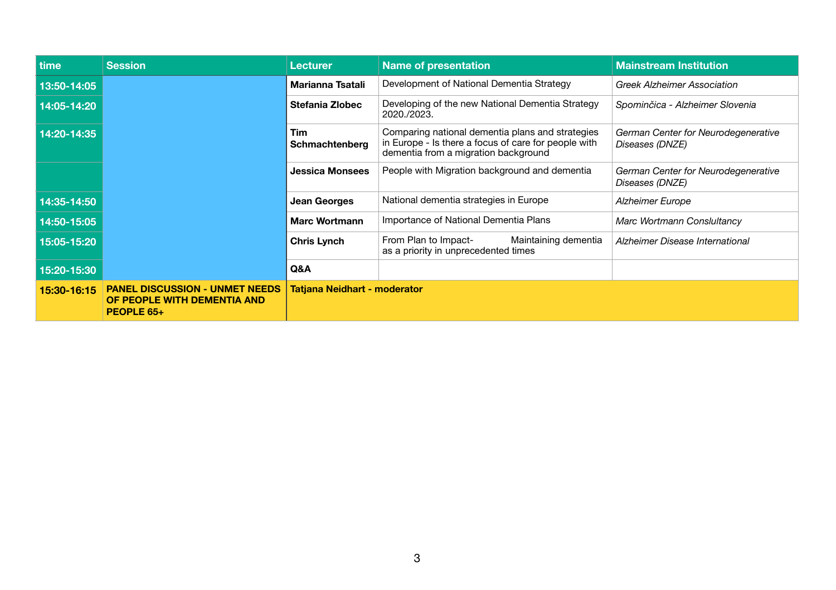| time        | <b>Session</b>                                                                     | <b>Lecturer</b>                     | <b>Name of presentation</b>                                                                                                                      | <b>Mainstream Institution</b>                          |
|-------------|------------------------------------------------------------------------------------|-------------------------------------|--------------------------------------------------------------------------------------------------------------------------------------------------|--------------------------------------------------------|
| 13:50-14:05 |                                                                                    | <b>Marianna Tsatali</b>             | Development of National Dementia Strategy                                                                                                        | <b>Greek Alzheimer Association</b>                     |
| 14:05-14:20 |                                                                                    | <b>Stefania Zlobec</b>              | Developing of the new National Dementia Strategy<br>2020./2023.                                                                                  | Spominčica - Alzheimer Slovenia                        |
| 14:20-14:35 |                                                                                    | Tim<br>Schmachtenberg               | Comparing national dementia plans and strategies<br>in Europe - Is there a focus of care for people with<br>dementia from a migration background | German Center for Neurodegenerative<br>Diseases (DNZE) |
|             |                                                                                    | <b>Jessica Monsees</b>              | People with Migration background and dementia                                                                                                    | German Center for Neurodegenerative<br>Diseases (DNZE) |
| 14:35-14:50 |                                                                                    | <b>Jean Georges</b>                 | National dementia strategies in Europe                                                                                                           | <b>Alzheimer Europe</b>                                |
| 14:50-15:05 |                                                                                    | <b>Marc Wortmann</b>                | Importance of National Dementia Plans                                                                                                            | Marc Wortmann Consluitancy                             |
| 15:05-15:20 |                                                                                    | <b>Chris Lynch</b>                  | Maintaining dementia<br>From Plan to Impact-<br>as a priority in unprecedented times                                                             | Alzheimer Disease International                        |
| 15:20-15:30 |                                                                                    | Q&A                                 |                                                                                                                                                  |                                                        |
| 15:30-16:15 | <b>PANEL DISCUSSION - UNMET NEEDS</b><br>OF PEOPLE WITH DEMENTIA AND<br>PEOPLE 65+ | <b>Tatjana Neidhart - moderator</b> |                                                                                                                                                  |                                                        |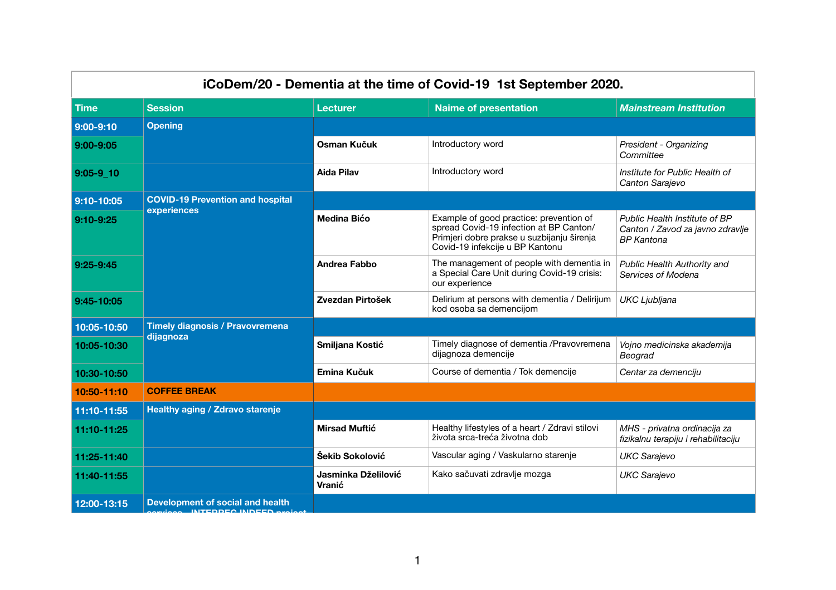| iCoDem/20 - Dementia at the time of Covid-19 1st September 2020. |                                                     |                               |                                                                                                                                                                     |                                                                                        |
|------------------------------------------------------------------|-----------------------------------------------------|-------------------------------|---------------------------------------------------------------------------------------------------------------------------------------------------------------------|----------------------------------------------------------------------------------------|
| <b>Time</b>                                                      | <b>Session</b>                                      | <b>Lecturer</b>               | <b>Naime of presentation</b>                                                                                                                                        | <b>Mainstream Institution</b>                                                          |
| $9:00 - 9:10$                                                    | <b>Opening</b>                                      |                               |                                                                                                                                                                     |                                                                                        |
| 9:00-9:05                                                        |                                                     | <b>Osman Kučuk</b>            | Introductory word                                                                                                                                                   | President - Organizing<br>Committee                                                    |
| $9:05 - 9 10$                                                    |                                                     | <b>Aida Pilav</b>             | Introductory word                                                                                                                                                   | Institute for Public Health of<br>Canton Sarajevo                                      |
| 9:10-10:05                                                       | <b>COVID-19 Prevention and hospital</b>             |                               |                                                                                                                                                                     |                                                                                        |
| 9:10-9:25                                                        | experiences                                         | <b>Medina Bićo</b>            | Example of good practice: prevention of<br>spread Covid-19 infection at BP Canton/<br>Primjeri dobre prakse u suzbijanju širenja<br>Covid-19 infekcije u BP Kantonu | Public Health Institute of BP<br>Canton / Zavod za javno zdravlje<br><b>BP</b> Kantona |
| 9:25-9:45                                                        |                                                     | <b>Andrea Fabbo</b>           | The management of people with dementia in<br>a Special Care Unit during Covid-19 crisis:<br>our experience                                                          | <b>Public Health Authority and</b><br>Services of Modena                               |
| 9:45-10:05                                                       |                                                     | Zvezdan Pirtošek              | Delirium at persons with dementia / Delirijum<br>kod osoba sa demencijom                                                                                            | UKC Ljubljana                                                                          |
| 10:05-10:50                                                      | <b>Timely diagnosis / Pravovremena</b><br>dijagnoza |                               |                                                                                                                                                                     |                                                                                        |
| 10:05-10:30                                                      |                                                     | Smiljana Kostić               | Timely diagnose of dementia / Pravovremena<br>dijagnoza demencije                                                                                                   | Vojno medicinska akademija<br>Beograd                                                  |
| 10:30-10:50                                                      |                                                     | Emina Kučuk                   | Course of dementia / Tok demencije                                                                                                                                  | Centar za demenciju                                                                    |
| 10:50-11:10                                                      | <b>COFFEE BREAK</b>                                 |                               |                                                                                                                                                                     |                                                                                        |
| 11:10-11:55                                                      | <b>Healthy aging / Zdravo starenje</b>              |                               |                                                                                                                                                                     |                                                                                        |
| 11:10-11:25                                                      |                                                     | <b>Mirsad Muftić</b>          | Healthy lifestyles of a heart / Zdravi stilovi<br>života srca-treća životna dob                                                                                     | MHS - privatna ordinacija za<br>fizikalnu terapiju i rehabilitaciju                    |
| 11:25-11:40                                                      |                                                     | Šekib Sokolović               | Vascular aging / Vaskularno starenje                                                                                                                                | <b>UKC Sarajevo</b>                                                                    |
| 11:40-11:55                                                      |                                                     | Jasminka Dželilović<br>Vranić | Kako sačuvati zdravlje mozga                                                                                                                                        | <b>UKC Sarajevo</b>                                                                    |
| 12:00-13:15                                                      | <b>Development of social and health</b>             |                               |                                                                                                                                                                     |                                                                                        |